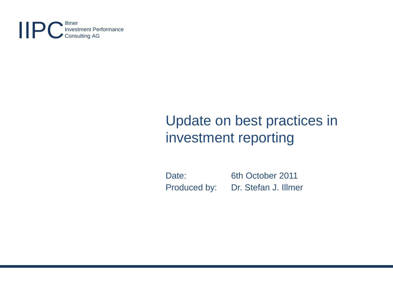**IIPC** Invest Investment Performance Consulting AG

# Update on best practices in investment reporting

Date: 6th October 2011 Produced by: Dr. Stefan J. Illmer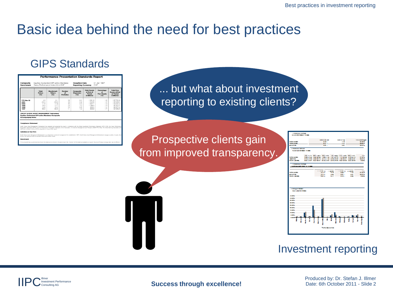#### Basic idea behind the need for best practices

#### GIPS Standards



... but what about investment reporting to existing clients?

Prospective clients gain from improved transparency.

| <b><i>PERMANENT IN PAR</i></b>        |                                                                |                              |              |                               |                 |                     |
|---------------------------------------|----------------------------------------------------------------|------------------------------|--------------|-------------------------------|-----------------|---------------------|
| Science Management Palace             |                                                                |                              |              |                               |                 |                     |
|                                       |                                                                |                              |              |                               |                 |                     |
|                                       |                                                                |                              |              |                               |                 |                     |
|                                       |                                                                | <b><i>SAMPROVING BIR</i></b> |              | <b><i>Address for New</i></b> |                 | <b>STRUMBER 200</b> |
| <b><i><u>PERMITTEN</u></i></b>        |                                                                | <b>APRIL</b>                 |              | 1.18                          |                 | mark                |
| <b>STAIRS</b>                         |                                                                | $100 - 100$                  |              | 5.68                          |                 | 19, 81%             |
|                                       |                                                                |                              |              |                               |                 |                     |
| <b>MASSACHER</b>                      |                                                                | <b>SALL</b>                  |              |                               |                 | age and the same    |
| <b>PERMANENT INFORM</b>               |                                                                |                              |              |                               |                 |                     |
|                                       |                                                                |                              |              |                               |                 |                     |
| <b><i>PARKING COMPANY OF REAL</i></b> |                                                                |                              |              |                               |                 |                     |
|                                       |                                                                |                              |              |                               |                 |                     |
|                                       |                                                                |                              |              |                               |                 |                     |
|                                       | one cars, and capital and come. One capital contracts measured |                              |              |                               |                 | $-1$                |
| <b><i>PERSONAL BRANCH</i></b>         | TARA TAR KATYANE SARA SARA SASARA SATYARA KATA SAT             |                              |              |                               |                 | <b>Britain</b>      |
| <b>Base of Alberta</b>                | <b>BERGERA BALVETA BERGALA BERGIAR LARVET BARGARET</b>         |                              |              |                               |                 | <b>HAPS</b>         |
| <b>NAME AND DESCRIPTION</b>           | BELLEY SENIE STELLEY ETCHER SENIE SENIE                        |                              |              |                               |                 | 8,68%               |
|                                       |                                                                |                              |              |                               |                 |                     |
| <b>PERMANENTARY</b>                   |                                                                |                              |              |                               |                 |                     |
| <b>ATE ALLEEN FEEL AND FEEL</b>       |                                                                |                              |              |                               |                 |                     |
|                                       |                                                                |                              |              |                               |                 |                     |
|                                       |                                                                |                              |              |                               | _               |                     |
|                                       | <b>COMMERCIAL</b>                                              |                              | <b>COMME</b> | <b>Comment of</b>             | <b>A MARINE</b> | ۰.                  |
| <b><i>CONTRACTOR</i></b>              |                                                                | 8,59%                        | \$1.00       |                               | 1,18            | <b>HEARTS</b>       |
| <b><i><u>ALCOHOL: NO</u></i></b>      |                                                                | <b>B-18 &amp;</b>            | 1, 11,       | <b>BELL</b>                   | <b>BAP</b>      | <b>TEACH</b>        |
| <b>NAME AND POST</b>                  |                                                                | <b>THE A</b>                 | 11.00        | <b>BAR 4</b>                  | 1,12            | 1,440               |
|                                       |                                                                |                              |              |                               |                 |                     |
|                                       |                                                                |                              |              |                               |                 |                     |
|                                       |                                                                |                              |              |                               |                 |                     |
|                                       |                                                                |                              |              |                               |                 |                     |
|                                       |                                                                |                              |              |                               |                 |                     |
|                                       |                                                                |                              |              |                               |                 |                     |
|                                       |                                                                |                              |              |                               |                 |                     |
|                                       |                                                                |                              |              |                               |                 |                     |
| or study showed                       |                                                                |                              |              |                               |                 |                     |
| 1941-19474-1759                       |                                                                |                              |              |                               |                 |                     |
|                                       |                                                                |                              |              |                               |                 |                     |
|                                       |                                                                |                              |              |                               |                 |                     |
| 18,885                                |                                                                |                              |              |                               |                 |                     |
| <b>SERVICE</b>                        |                                                                |                              |              |                               |                 |                     |
| <b><i>BERTH</i></b>                   |                                                                |                              |              |                               |                 |                     |
|                                       |                                                                |                              |              |                               |                 |                     |
| <b><i>SERVICE</i></b>                 |                                                                |                              |              |                               |                 |                     |
|                                       |                                                                |                              |              |                               |                 |                     |
|                                       |                                                                |                              |              |                               |                 |                     |
| <b><i><u>B.BS.</u></i></b>            |                                                                |                              |              |                               |                 |                     |
| 18,88%                                |                                                                |                              |              |                               |                 |                     |
|                                       |                                                                |                              |              |                               |                 |                     |
| <b>STATISTICS</b>                     |                                                                |                              |              |                               |                 |                     |
| $\cdots$                              |                                                                |                              |              |                               |                 |                     |
|                                       |                                                                |                              |              |                               |                 |                     |
| <b>B. 8910</b>                        |                                                                |                              |              |                               |                 |                     |
|                                       |                                                                |                              |              |                               |                 |                     |
|                                       |                                                                |                              |              |                               |                 |                     |
|                                       |                                                                |                              |              |                               |                 |                     |
|                                       |                                                                |                              |              |                               |                 |                     |
|                                       |                                                                |                              |              |                               |                 |                     |
|                                       |                                                                | <b>PERMIT ANTIACTION</b>     |              |                               |                 |                     |
|                                       |                                                                |                              |              |                               |                 |                     |

#### Investment reporting

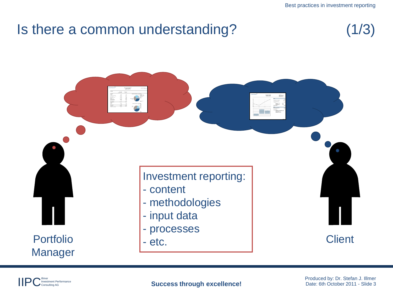#### Is there a common understanding?

$$
(1/3)
$$

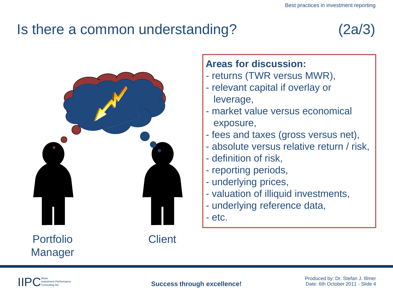# Is there a common understanding? (2a/3)





Portfolio Manager **Client** 

#### **Areas for discussion:**

- returns (TWR versus MWR),
- relevant capital if overlay or leverage,
- market value versus economical exposure,
- fees and taxes (gross versus net),
- absolute versus relative return / risk,
- definition of risk,
- reporting periods,
- underlying prices,
- valuation of illiquid investments,
- underlying reference data,
- etc.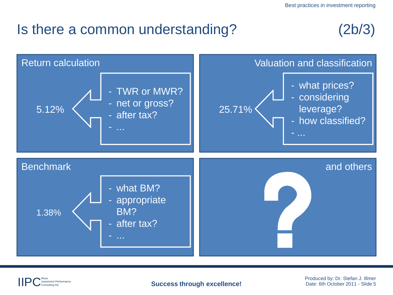#### Is there a common understanding? (2b/3)





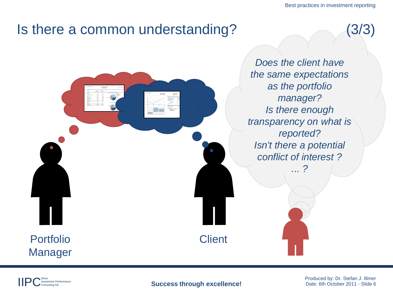Best practices in investment reporting

#### Is there a common understanding? (3/3)



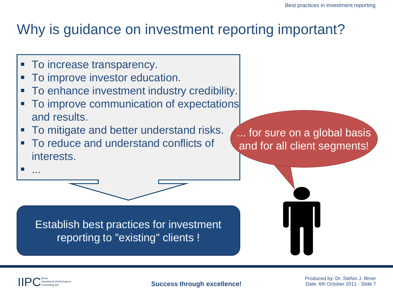## Why is guidance on investment reporting important?

**To increase transparency.** 

Illmer

...

Investment Performance

- To improve investor education.
- To enhance investment industry credibility.
- To improve communication of expectations and results.
- **To mitigate and better understand risks.**
- To reduce and understand conflicts of interests.

... for sure on a global basis and for all client segments!

Establish best practices for investment reporting to "existing" clients !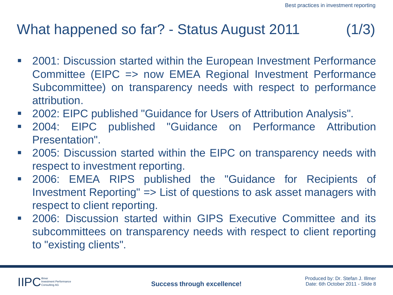# What happened so far? - Status August 2011 (1/3)

- 2001: Discussion started within the European Investment Performance Committee (EIPC => now EMEA Regional Investment Performance Subcommittee) on transparency needs with respect to performance attribution.
- 2002: EIPC published "Guidance for Users of Attribution Analysis".
- 2004: EIPC published "Guidance on Performance Attribution Presentation".
- **2005: Discussion started within the EIPC on transparency needs with** respect to investment reporting.
- 2006: EMEA RIPS published the "Guidance for Recipients of Investment Reporting" => List of questions to ask asset managers with respect to client reporting.
- 2006: Discussion started within GIPS Executive Committee and its subcommittees on transparency needs with respect to client reporting to "existing clients".

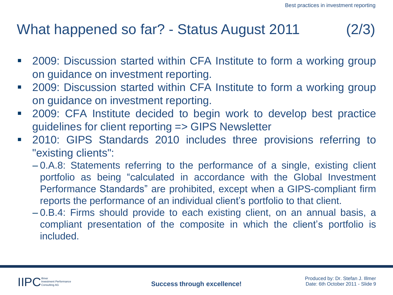# What happened so far? - Status August 2011 (2/3)

- 2009: Discussion started within CFA Institute to form a working group on guidance on investment reporting.
- 2009: Discussion started within CFA Institute to form a working group on guidance on investment reporting.
- 2009: CFA Institute decided to begin work to develop best practice guidelines for client reporting => GIPS Newsletter
- 2010: GIPS Standards 2010 includes three provisions referring to "existing clients":
	- 0.A.8: Statements referring to the performance of a single, existing client portfolio as being "calculated in accordance with the Global Investment Performance Standards" are prohibited, except when a GIPS-compliant firm reports the performance of an individual client's portfolio to that client.
	- 0.B.4: Firms should provide to each existing client, on an annual basis, a compliant presentation of the composite in which the client's portfolio is included.

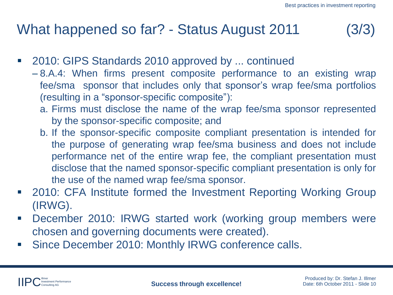# What happened so far? - Status August 2011 (3/3)

- 2010: GIPS Standards 2010 approved by ... continued
	- 8.A.4: When firms present composite performance to an existing wrap fee/sma sponsor that includes only that sponsor's wrap fee/sma portfolios (resulting in a "sponsor-specific composite"):
		- a. Firms must disclose the name of the wrap fee/sma sponsor represented by the sponsor-specific composite; and
		- b. If the sponsor-specific composite compliant presentation is intended for the purpose of generating wrap fee/sma business and does not include performance net of the entire wrap fee, the compliant presentation must disclose that the named sponsor-specific compliant presentation is only for the use of the named wrap fee/sma sponsor.
- 2010: CFA Institute formed the Investment Reporting Working Group (IRWG).
- December 2010: IRWG started work (working group members were chosen and governing documents were created).
- **Since December 2010: Monthly IRWG conference calls.**

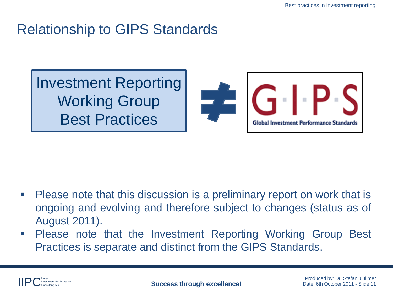# Relationship to GIPS Standards

Investment Reporting Working Group Best Practices



- Please note that this discussion is a preliminary report on work that is ongoing and evolving and therefore subject to changes (status as of August 2011).
- Please note that the Investment Reporting Working Group Best Practices is separate and distinct from the GIPS Standards.

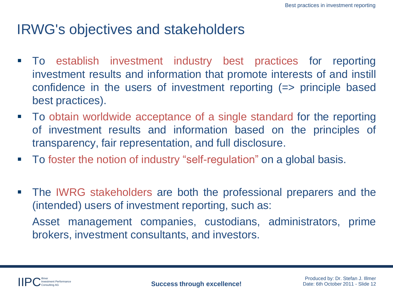### IRWG's objectives and stakeholders

- To establish investment industry best practices for reporting investment results and information that promote interests of and instill confidence in the users of investment reporting (=> principle based best practices).
- To obtain worldwide acceptance of a single standard for the reporting of investment results and information based on the principles of transparency, fair representation, and full disclosure.
- To foster the notion of industry "self-regulation" on a global basis.
- **The IWRG stakeholders are both the professional preparers and the** (intended) users of investment reporting, such as: Asset management companies, custodians, administrators, prime brokers, investment consultants, and investors.

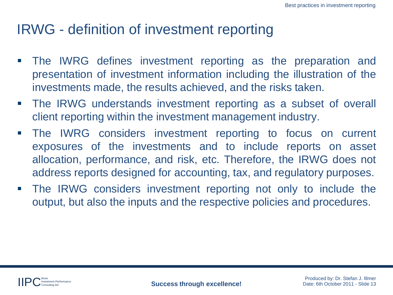### IRWG - definition of investment reporting

- The IWRG defines investment reporting as the preparation and presentation of investment information including the illustration of the investments made, the results achieved, and the risks taken.
- The IRWG understands investment reporting as a subset of overall client reporting within the investment management industry.
- The IWRG considers investment reporting to focus on current exposures of the investments and to include reports on asset allocation, performance, and risk, etc. Therefore, the IRWG does not address reports designed for accounting, tax, and regulatory purposes.
- **The IRWG considers investment reporting not only to include the** output, but also the inputs and the respective policies and procedures.

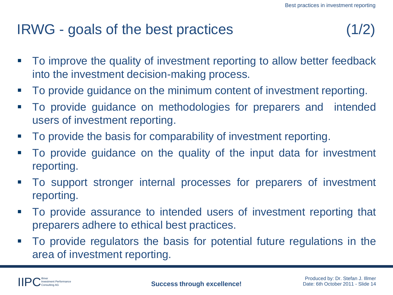## IRWG - goals of the best practices (1/2)

- To improve the quality of investment reporting to allow better feedback into the investment decision-making process.
- To provide guidance on the minimum content of investment reporting.
- To provide guidance on methodologies for preparers and intended users of investment reporting.
- To provide the basis for comparability of investment reporting.
- To provide guidance on the quality of the input data for investment reporting.
- To support stronger internal processes for preparers of investment reporting.
- To provide assurance to intended users of investment reporting that preparers adhere to ethical best practices.
- To provide regulators the basis for potential future regulations in the area of investment reporting.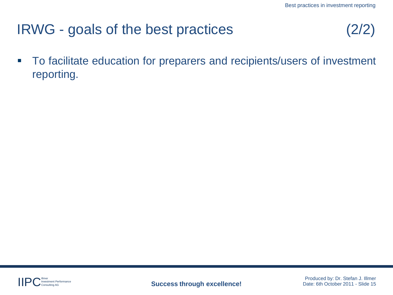# IRWG - goals of the best practices

■ To facilitate education for preparers and recipients/users of investment reporting.

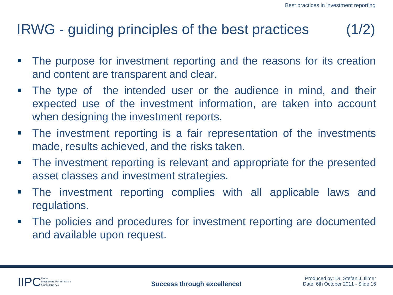# IRWG - guiding principles of the best practices (1/2)

- **The purpose for investment reporting and the reasons for its creation** and content are transparent and clear.
- The type of the intended user or the audience in mind, and their expected use of the investment information, are taken into account when designing the investment reports.
- The investment reporting is a fair representation of the investments made, results achieved, and the risks taken.
- The investment reporting is relevant and appropriate for the presented asset classes and investment strategies.
- The investment reporting complies with all applicable laws and regulations.
- The policies and procedures for investment reporting are documented and available upon request.

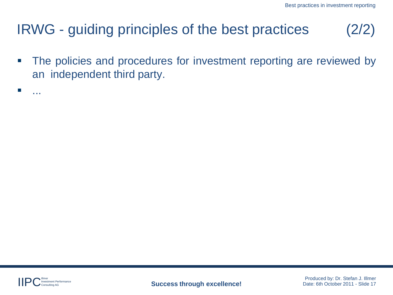# IRWG - guiding principles of the best practices

**The policies and procedures for investment reporting are reviewed by** an independent third party.



...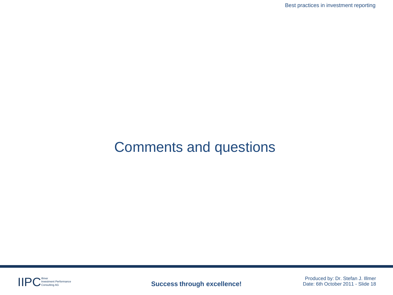## Comments and questions



**Produced by: Dr. Stefan J. Illmer** Performance **Success through excellence!** Produced by: Dr. Stefan J. Illmer Produced by: Dr. Stefan J. Illmer Produced by: Dr. Stefan J. Illmer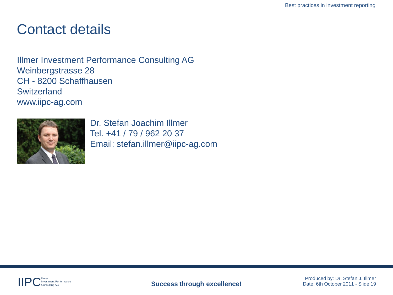#### Contact details

Illmer Investment Performance Consulting AG Weinbergstrasse 28 CH - 8200 Schaffhausen **Switzerland** www.iipc-ag.com



Dr. Stefan Joachim Illmer Tel. +41 / 79 / 962 20 37 Email: stefan.illmer@iipc-ag.com